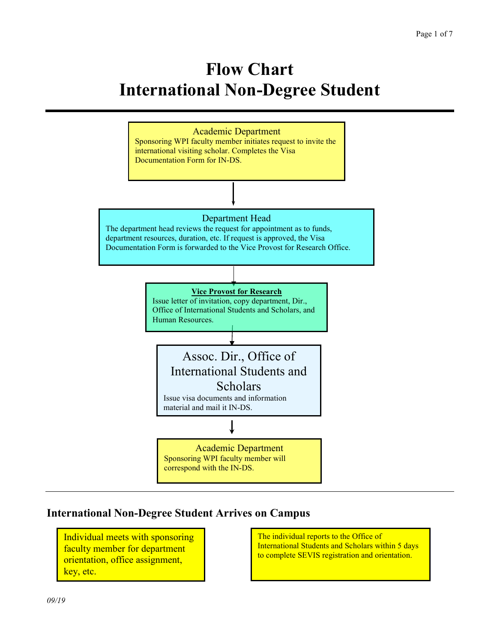# **Flow Chart International Non-Degree Student**



#### **International Non-Degree Student Arrives on Campus**

Individual meets with sponsoring faculty member for department orientation, office assignment, key, etc.

The individual reports to the Office of International Students and Scholars within 5 days to complete SEVIS registration and orientation.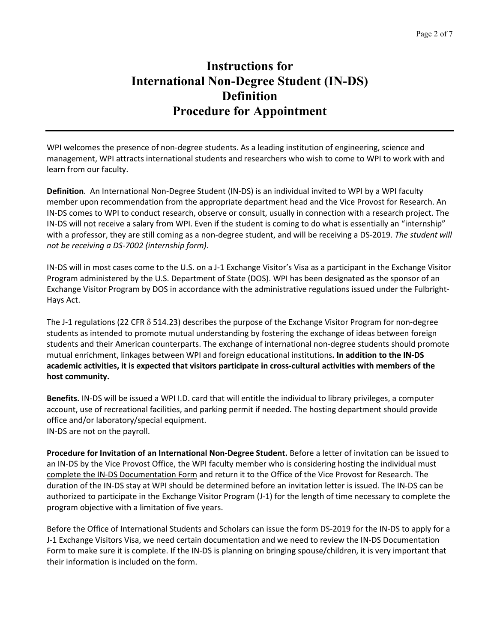## **Instructions for International Non-Degree Student (IN-DS) Definition Procedure for Appointment**

WPI welcomes the presence of non-degree students. As a leading institution of engineering, science and management, WPI attracts international students and researchers who wish to come to WPI to work with and learn from our faculty.

**Definition**. An International Non-Degree Student (IN-DS) is an individual invited to WPI by a WPI faculty member upon recommendation from the appropriate department head and the Vice Provost for Research. An IN-DS comes to WPI to conduct research, observe or consult, usually in connection with a research project. The IN-DS will not receive a salary from WPI. Even if the student is coming to do what is essentially an "internship" with a professor, they are still coming as a non-degree student, and will be receiving a DS-2019. *The student will not be receiving a DS-7002 (internship form).*

IN-DS will in most cases come to the U.S. on a J-1 Exchange Visitor's Visa as a participant in the Exchange Visitor Program administered by the U.S. Department of State (DOS). WPI has been designated as the sponsor of an Exchange Visitor Program by DOS in accordance with the administrative regulations issued under the Fulbright-Hays Act.

The J-1 regulations (22 CFR  $\delta$  514.23) describes the purpose of the Exchange Visitor Program for non-degree students as intended to promote mutual understanding by fostering the exchange of ideas between foreign students and their American counterparts. The exchange of international non-degree students should promote mutual enrichment, linkages between WPI and foreign educational institutions**. In addition to the IN-DS academic activities, it is expected that visitors participate in cross-cultural activities with members of the host community.**

**Benefits.** IN-DS will be issued a WPI I.D. card that will entitle the individual to library privileges, a computer account, use of recreational facilities, and parking permit if needed. The hosting department should provide office and/or laboratory/special equipment. IN-DS are not on the payroll.

**Procedure for Invitation of an International Non-Degree Student.** Before a letter of invitation can be issued to an IN-DS by the Vice Provost Office, the WPI faculty member who is considering hosting the individual must complete the IN-DS Documentation Form and return it to the Office of the Vice Provost for Research. The duration of the IN-DS stay at WPI should be determined before an invitation letter is issued. The IN-DS can be authorized to participate in the Exchange Visitor Program (J-1) for the length of time necessary to complete the program objective with a limitation of five years.

Before the Office of International Students and Scholars can issue the form DS-2019 for the IN-DS to apply for a J-1 Exchange Visitors Visa, we need certain documentation and we need to review the IN-DS Documentation Form to make sure it is complete. If the IN-DS is planning on bringing spouse/children, it is very important that their information is included on the form.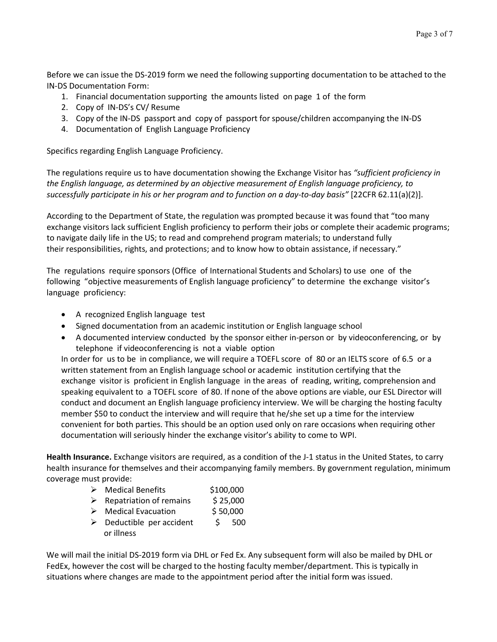Before we can issue the DS-2019 form we need the following supporting documentation to be attached to the IN-DS Documentation Form:

- 1. Financial documentation supporting the amounts listed on page 1 of the form
- 2. Copy of IN-DS's CV/ Resume
- 3. Copy of the IN-DS passport and copy of passport for spouse/children accompanying the IN-DS
- 4. Documentation of English Language Proficiency

Specifics regarding English Language Proficiency.

The regulations require us to have documentation showing the Exchange Visitor has *"sufficient proficiency in the English language, as determined by an objective measurement of English language proficiency, to successfully participate in his or her program and to function on a day-to-day basis"* [22CFR 62.11(a)(2)].

According to the Department of State, the regulation was prompted because it was found that "too many exchange visitors lack sufficient English proficiency to perform their jobs or complete their academic programs; to navigate daily life in the US; to read and comprehend program materials; to understand fully their responsibilities, rights, and protections; and to know how to obtain assistance, if necessary."

The regulations require sponsors (Office of International Students and Scholars) to use one of the following "objective measurements of English language proficiency" to determine the exchange visitor's language proficiency:

- A recognized English language test
- Signed documentation from an academic institution or English language school
- A documented interview conducted by the sponsor either in-person or by videoconferencing, or by telephone if videoconferencing is not a viable option

In order for us to be in compliance, we will require a TOEFL score of 80 or an IELTS score of 6.5 or a written statement from an English language school or academic institution certifying that the exchange visitor is proficient in English language in the areas of reading, writing, comprehension and speaking equivalent to a TOEFL score of 80. If none of the above options are viable, our ESL Director will conduct and document an English language proficiency interview. We will be charging the hosting faculty member \$50 to conduct the interview and will require that he/she set up a time for the interview convenient for both parties. This should be an option used only on rare occasions when requiring other documentation will seriously hinder the exchange visitor's ability to come to WPI.

**Health Insurance.** Exchange visitors are required, as a condition of the J-1 status in the United States, to carry health insurance for themselves and their accompanying family members. By government regulation, minimum coverage must provide:

- ▶ Medical Benefits \$100,000
- $\triangleright$  Repatriation of remains \$ 25,000
- $\triangleright$  Medical Evacuation \$ 50,000
- $\triangleright$  Deductible per accident  $\zeta$  500 or illness

We will mail the initial DS-2019 form via DHL or Fed Ex. Any subsequent form will also be mailed by DHL or FedEx, however the cost will be charged to the hosting faculty member/department. This is typically in situations where changes are made to the appointment period after the initial form was issued.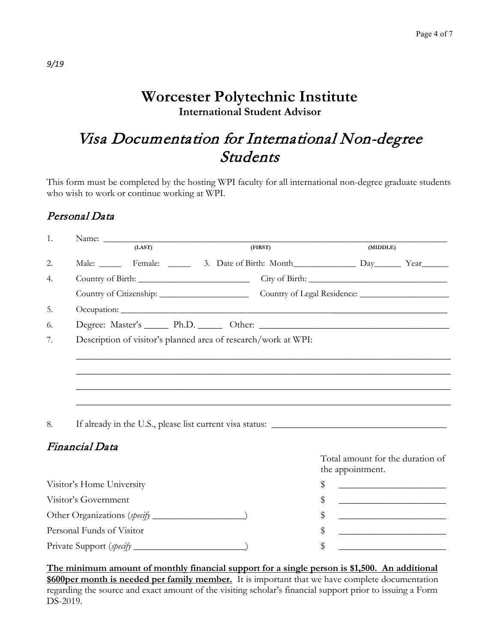## **Worcester Polytechnic Institute International Student Advisor**

## Visa Documentation for International Non-degree Students

This form must be completed by the hosting WPI faculty for all international non-degree graduate students who wish to work or continue working at WPI.

#### Personal Data

| 1. |                                                                |                                                    |  |         |    |                                                   |                                                                                                                      |                                                                                           |  |  |
|----|----------------------------------------------------------------|----------------------------------------------------|--|---------|----|---------------------------------------------------|----------------------------------------------------------------------------------------------------------------------|-------------------------------------------------------------------------------------------|--|--|
|    |                                                                | (LAST)                                             |  | (FIRST) |    |                                                   | (MIDDLE)                                                                                                             |                                                                                           |  |  |
| 2. |                                                                | Male: Female: 3. Date of Birth: Month Day Day Year |  |         |    |                                                   |                                                                                                                      |                                                                                           |  |  |
| 4. |                                                                |                                                    |  |         |    |                                                   |                                                                                                                      |                                                                                           |  |  |
|    |                                                                |                                                    |  |         |    |                                                   |                                                                                                                      |                                                                                           |  |  |
| 5. |                                                                |                                                    |  |         |    |                                                   |                                                                                                                      |                                                                                           |  |  |
| 6. |                                                                |                                                    |  |         |    |                                                   |                                                                                                                      |                                                                                           |  |  |
| 7. | Description of visitor's planned area of research/work at WPI: |                                                    |  |         |    |                                                   |                                                                                                                      |                                                                                           |  |  |
|    |                                                                |                                                    |  |         |    |                                                   |                                                                                                                      |                                                                                           |  |  |
|    |                                                                |                                                    |  |         |    |                                                   |                                                                                                                      |                                                                                           |  |  |
|    |                                                                |                                                    |  |         |    |                                                   |                                                                                                                      |                                                                                           |  |  |
|    |                                                                |                                                    |  |         |    |                                                   |                                                                                                                      |                                                                                           |  |  |
|    |                                                                |                                                    |  |         |    |                                                   |                                                                                                                      |                                                                                           |  |  |
| 8. |                                                                |                                                    |  |         |    |                                                   |                                                                                                                      |                                                                                           |  |  |
|    | Financial Data                                                 |                                                    |  |         |    |                                                   |                                                                                                                      |                                                                                           |  |  |
|    |                                                                |                                                    |  |         |    |                                                   |                                                                                                                      | Total amount for the duration of                                                          |  |  |
|    |                                                                |                                                    |  |         |    |                                                   | the appointment.                                                                                                     |                                                                                           |  |  |
|    | Visitor's Home University                                      |                                                    |  | \$      |    | <u> 1989 - Johann Barbara, martxa alemaniar a</u> |                                                                                                                      |                                                                                           |  |  |
|    | Visitor's Government                                           |                                                    |  | \$      |    | <u> 1989 - Johann Barbara, martxa alemaniar a</u> |                                                                                                                      |                                                                                           |  |  |
|    |                                                                |                                                    |  |         | \$ |                                                   | <u> 1989 - Johann Barn, mars ann an t-Amhain an t-Amhain an t-Amhain an t-Amhain an t-Amhain an t-Amhain an t-A</u>  |                                                                                           |  |  |
|    | Personal Funds of Visitor                                      |                                                    |  |         | \$ |                                                   | <u> 1989 - Johann Barn, mars eta bat erroman erroman erroman erroman erroman erroman erroman erroman erroman err</u> |                                                                                           |  |  |
|    |                                                                |                                                    |  |         |    | \$                                                |                                                                                                                      | the control of the control of the control of the control of the control of the control of |  |  |
|    |                                                                |                                                    |  |         |    |                                                   |                                                                                                                      |                                                                                           |  |  |

**The minimum amount of monthly financial support for a single person is \$1,500. An additional \$600per month is needed per family member.** It is important that we have complete documentation regarding the source and exact amount of the visiting scholar's financial support prior to issuing a Form DS-2019.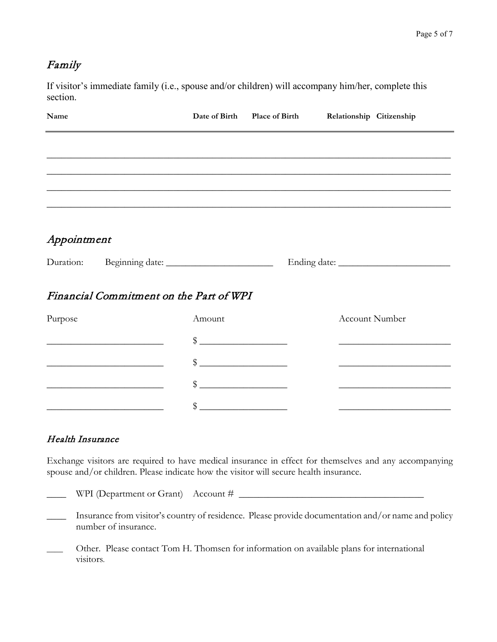## Family

If visitor's immediate family (i.e., spouse and/or children) will accompany him/her, complete this section.

| Name                                                                       |                                                                                                                                                                                                                                                                                                                     | Date of Birth Place of Birth Relationship Citizenship                                     |
|----------------------------------------------------------------------------|---------------------------------------------------------------------------------------------------------------------------------------------------------------------------------------------------------------------------------------------------------------------------------------------------------------------|-------------------------------------------------------------------------------------------|
|                                                                            |                                                                                                                                                                                                                                                                                                                     |                                                                                           |
|                                                                            |                                                                                                                                                                                                                                                                                                                     |                                                                                           |
|                                                                            |                                                                                                                                                                                                                                                                                                                     |                                                                                           |
|                                                                            |                                                                                                                                                                                                                                                                                                                     |                                                                                           |
| Appointment                                                                |                                                                                                                                                                                                                                                                                                                     |                                                                                           |
|                                                                            |                                                                                                                                                                                                                                                                                                                     |                                                                                           |
| Financial Commitment on the Part of WPI                                    |                                                                                                                                                                                                                                                                                                                     |                                                                                           |
| Purpose                                                                    | Amount                                                                                                                                                                                                                                                                                                              | <b>Account Number</b>                                                                     |
|                                                                            | $\frac{1}{2}$ $\frac{1}{2}$ $\frac{1}{2}$ $\frac{1}{2}$ $\frac{1}{2}$ $\frac{1}{2}$ $\frac{1}{2}$ $\frac{1}{2}$ $\frac{1}{2}$ $\frac{1}{2}$ $\frac{1}{2}$ $\frac{1}{2}$ $\frac{1}{2}$ $\frac{1}{2}$ $\frac{1}{2}$ $\frac{1}{2}$ $\frac{1}{2}$ $\frac{1}{2}$ $\frac{1}{2}$ $\frac{1}{2}$ $\frac{1}{2}$ $\frac{1}{2}$ |                                                                                           |
| the control of the control of the control of the control of the control of | $\frac{1}{2}$                                                                                                                                                                                                                                                                                                       | the control of the control of the control of the control of the control of                |
| the control of the control of the control of the control of the control of | $\frac{1}{2}$ $\frac{1}{2}$ $\frac{1}{2}$ $\frac{1}{2}$ $\frac{1}{2}$ $\frac{1}{2}$ $\frac{1}{2}$ $\frac{1}{2}$ $\frac{1}{2}$ $\frac{1}{2}$ $\frac{1}{2}$ $\frac{1}{2}$ $\frac{1}{2}$ $\frac{1}{2}$ $\frac{1}{2}$ $\frac{1}{2}$ $\frac{1}{2}$ $\frac{1}{2}$ $\frac{1}{2}$ $\frac{1}{2}$ $\frac{1}{2}$ $\frac{1}{2}$ | the control of the control of the control of the control of the control of the control of |
|                                                                            |                                                                                                                                                                                                                                                                                                                     |                                                                                           |

#### Health Insurance

Exchange visitors are required to have medical insurance in effect for themselves and any accompanying spouse and/or children. Please indicate how the visitor will secure health insurance.

 $\perp$  WPI (Department or Grant) Account #  $\perp$ 

- \_\_\_\_ Insurance from visitor's country of residence. Please provide documentation and/or name and policy number of insurance.
- Other. Please contact Tom H. Thomsen for information on available plans for international visitors.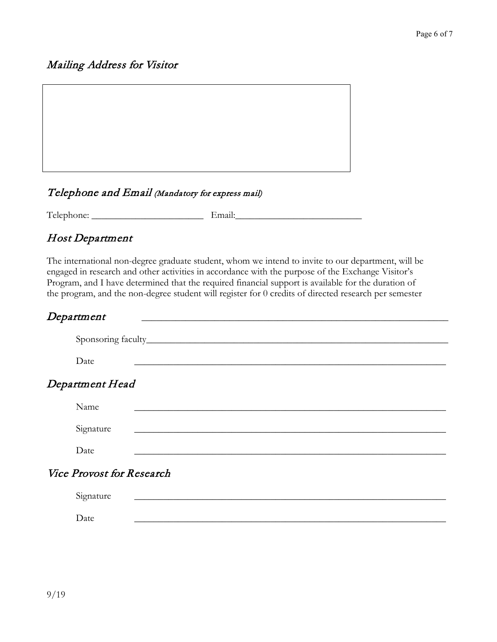## Mailing Address for Visitor



### Telephone and Email (Mandatory for express mail)

Telephone: \_\_\_\_\_\_\_\_\_\_\_\_\_\_\_\_\_\_\_\_\_\_\_ Email:\_\_\_\_\_\_\_\_\_\_\_\_\_\_\_\_\_\_\_\_\_\_\_\_\_\_

## Host Department

The international non-degree graduate student, whom we intend to invite to our department, will be engaged in research and other activities in accordance with the purpose of the Exchange Visitor's Program, and I have determined that the required financial support is available for the duration of the program, and the non-degree student will register for 0 credits of directed research per semester

| Department                       |  |  |  |
|----------------------------------|--|--|--|
|                                  |  |  |  |
| Date                             |  |  |  |
| Department Head                  |  |  |  |
| Name                             |  |  |  |
| Signature                        |  |  |  |
| Date                             |  |  |  |
| <b>Vice Provost for Research</b> |  |  |  |
| Signature                        |  |  |  |
| Date                             |  |  |  |